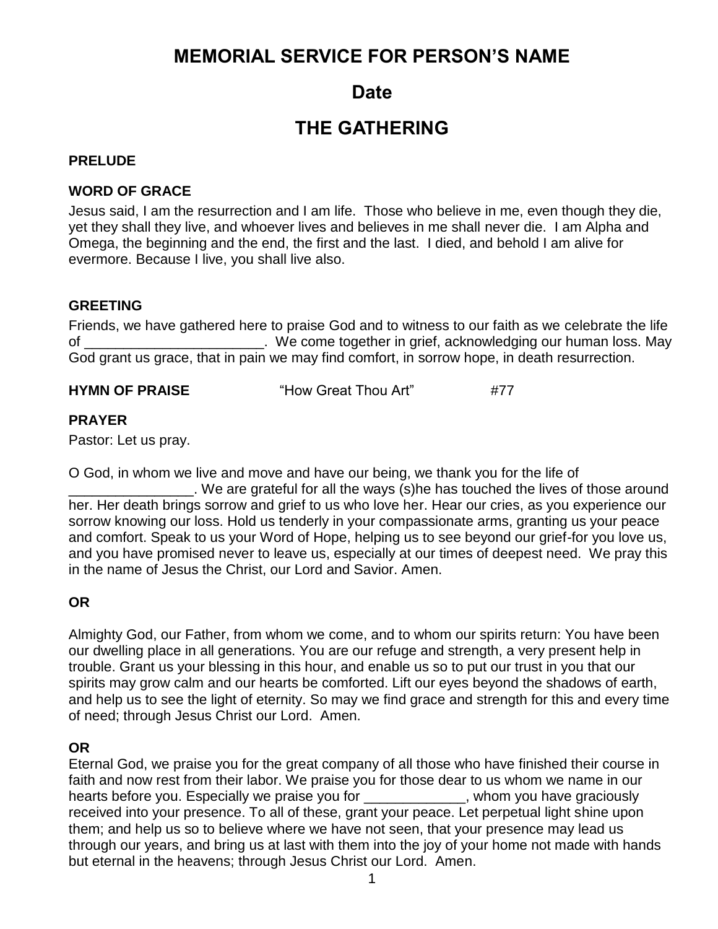# **MEMORIAL SERVICE FOR PERSON'S NAME**

# **Date**

# **THE GATHERING**

## **PRELUDE**

## **WORD OF GRACE**

Jesus said, I am the resurrection and I am life. Those who believe in me, even though they die, yet they shall they live, and whoever lives and believes in me shall never die. I am Alpha and Omega, the beginning and the end, the first and the last. I died, and behold I am alive for evermore. Because I live, you shall live also.

## **GREETING**

Friends, we have gathered here to praise God and to witness to our faith as we celebrate the life of \_\_\_\_\_\_\_\_\_\_\_\_\_\_\_\_\_\_\_\_\_\_\_. We come together in grief, acknowledging our human loss. May God grant us grace, that in pain we may find comfort, in sorrow hope, in death resurrection.

**HYMN OF PRAISE**  $\qquad$  "How Great Thou Art"  $\qquad$  #77

# **PRAYER**

Pastor: Let us pray.

O God, in whom we live and move and have our being, we thank you for the life of

\_\_\_\_\_\_\_\_\_\_\_\_\_\_\_\_. We are grateful for all the ways (s)he has touched the lives of those around her. Her death brings sorrow and grief to us who love her. Hear our cries, as you experience our sorrow knowing our loss. Hold us tenderly in your compassionate arms, granting us your peace and comfort. Speak to us your Word of Hope, helping us to see beyond our grief-for you love us, and you have promised never to leave us, especially at our times of deepest need. We pray this in the name of Jesus the Christ, our Lord and Savior. Amen.

# **OR**

Almighty God, our Father, from whom we come, and to whom our spirits return: You have been our dwelling place in all generations. You are our refuge and strength, a very present help in trouble. Grant us your blessing in this hour, and enable us so to put our trust in you that our spirits may grow calm and our hearts be comforted. Lift our eyes beyond the shadows of earth, and help us to see the light of eternity. So may we find grace and strength for this and every time of need; through Jesus Christ our Lord. Amen.

# **OR**

Eternal God, we praise you for the great company of all those who have finished their course in faith and now rest from their labor. We praise you for those dear to us whom we name in our hearts before you. Especially we praise you for the same whom you have graciously received into your presence. To all of these, grant your peace. Let perpetual light shine upon them; and help us so to believe where we have not seen, that your presence may lead us through our years, and bring us at last with them into the joy of your home not made with hands but eternal in the heavens; through Jesus Christ our Lord. Amen.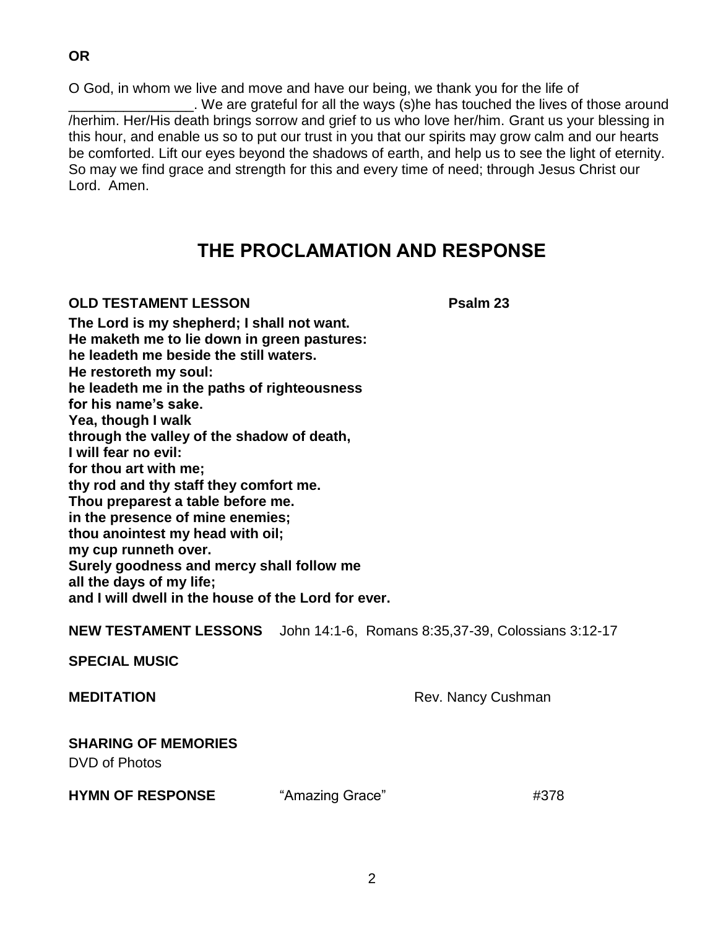O God, in whom we live and move and have our being, we thank you for the life of \_\_\_\_\_\_\_\_\_\_\_\_\_\_\_\_. We are grateful for all the ways (s)he has touched the lives of those around /herhim. Her/His death brings sorrow and grief to us who love her/him. Grant us your blessing in this hour, and enable us so to put our trust in you that our spirits may grow calm and our hearts be comforted. Lift our eyes beyond the shadows of earth, and help us to see the light of eternity. So may we find grace and strength for this and every time of need; through Jesus Christ our Lord. Amen.

# **THE PROCLAMATION AND RESPONSE**

### **OLD TESTAMENT LESSON Psalm 23**

**The Lord is my shepherd; I shall not want. He maketh me to lie down in green pastures: he leadeth me beside the still waters. He restoreth my soul: he leadeth me in the paths of righteousness for his name's sake. Yea, though I walk through the valley of the shadow of death, I will fear no evil: for thou art with me; thy rod and thy staff they comfort me. Thou preparest a table before me. in the presence of mine enemies; thou anointest my head with oil; my cup runneth over. Surely goodness and mercy shall follow me all the days of my life; and I will dwell in the house of the Lord for ever.**

**NEW TESTAMENT LESSONS** John 14:1-6, Romans 8:35,37-39, Colossians 3:12-17

**SPECIAL MUSIC**

**MEDITATION** Rev. Nancy Cushman

# **SHARING OF MEMORIES**

DVD of Photos

**HYMN OF RESPONSE** "Amazing Grace"  $\#378$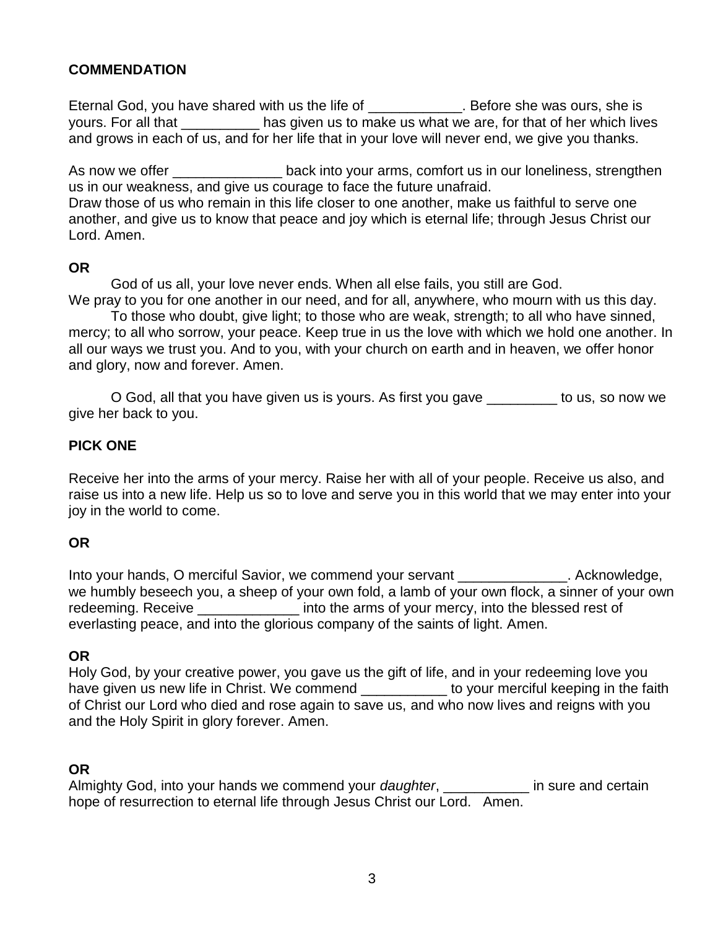## **COMMENDATION**

Eternal God, you have shared with us the life of \_\_\_\_\_\_\_\_\_\_\_\_\_. Before she was ours, she is yours. For all that \_\_\_\_\_\_\_\_\_\_ has given us to make us what we are, for that of her which lives and grows in each of us, and for her life that in your love will never end, we give you thanks.

As now we offer \_\_\_\_\_\_\_\_\_\_\_\_\_\_\_\_\_\_\_back into your arms, comfort us in our loneliness, strengthen us in our weakness, and give us courage to face the future unafraid. Draw those of us who remain in this life closer to one another, make us faithful to serve one another, and give us to know that peace and joy which is eternal life; through Jesus Christ our Lord. Amen.

#### **OR**

God of us all, your love never ends. When all else fails, you still are God. We pray to you for one another in our need, and for all, anywhere, who mourn with us this day.

To those who doubt, give light; to those who are weak, strength; to all who have sinned, mercy; to all who sorrow, your peace. Keep true in us the love with which we hold one another. In all our ways we trust you. And to you, with your church on earth and in heaven, we offer honor and glory, now and forever. Amen.

O God, all that you have given us is yours. As first you gave \_\_\_\_\_\_\_\_\_ to us, so now we give her back to you.

### **PICK ONE**

Receive her into the arms of your mercy. Raise her with all of your people. Receive us also, and raise us into a new life. Help us so to love and serve you in this world that we may enter into your joy in the world to come.

### **OR**

Into your hands, O merciful Savior, we commend your servant \_\_\_\_\_\_\_\_\_\_\_\_\_\_. Acknowledge, we humbly beseech you, a sheep of your own fold, a lamb of your own flock, a sinner of your own redeeming. Receive The State Linto the arms of your mercy, into the blessed rest of everlasting peace, and into the glorious company of the saints of light. Amen.

### **OR**

Holy God, by your creative power, you gave us the gift of life, and in your redeeming love you have given us new life in Christ. We commend **we commend** to your merciful keeping in the faith of Christ our Lord who died and rose again to save us, and who now lives and reigns with you and the Holy Spirit in glory forever. Amen.

### **OR**

Almighty God, into your hands we commend your *daughter*, \_\_\_\_\_\_\_\_\_\_\_ in sure and certain hope of resurrection to eternal life through Jesus Christ our Lord. Amen.